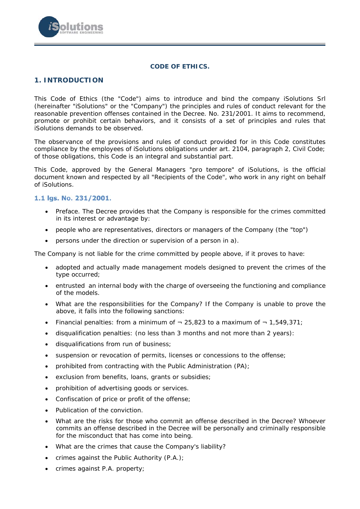

#### **CODE OF ETHICS.**

### **1. INTRODUCTION**

This Code of Ethics (the "Code") aims to introduce and bind the company iSolutions Srl (hereinafter "iSolutions" or the "Company") the principles and rules of conduct relevant for the reasonable prevention offenses contained in the Decree. No. 231/2001. It aims to recommend, promote or prohibit certain behaviors, and it consists of a set of principles and rules that iSolutions demands to be observed.

The observance of the provisions and rules of conduct provided for in this Code constitutes compliance by the employees of iSolutions obligations under art. 2104, paragraph 2, Civil Code; of those obligations, this Code is an integral and substantial part.

This Code, approved by the General Managers "pro tempore" of iSolutions, is the official document known and respected by all "Recipients of the Code", who work in any right on behalf of iSolutions.

### 1.1 lgs. No. 231/2001.

- Preface. The Decree provides that the Company is responsible for the crimes committed in its interest or advantage by:
- people who are representatives, directors or managers of the Company (the "top")
- persons under the direction or supervision of a person in a).

The Company is not liable for the crime committed by people above, if it proves to have:

- adopted and actually made management models designed to prevent the crimes of the type occurred;
- entrusted an internal body with the charge of overseeing the functioning and compliance of the models.
- What are the responsibilities for the Company? If the Company is unable to prove the above, it falls into the following sanctions:
- Financial penalties: from a minimum of  $-25,823$  to a maximum of  $-1,549,371$ ;
- disqualification penalties: (no less than 3 months and not more than 2 years):
- disqualifications from run of business;
- suspension or revocation of permits, licenses or concessions to the offense;
- prohibited from contracting with the Public Administration (PA);
- exclusion from benefits, loans, grants or subsidies;
- prohibition of advertising goods or services.
- Confiscation of price or profit of the offense:
- Publication of the conviction.
- What are the risks for those who commit an offense described in the Decree? Whoever commits an offense described in the Decree will be personally and criminally responsible for the misconduct that has come into being.
- What are the crimes that cause the Company's liability?
- crimes against the Public Authority  $(P.A.)$ ;
- crimes against P.A. property;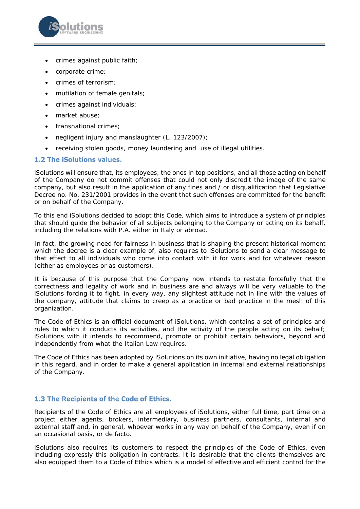

- crimes against public faith;
- corporate crime;
- crimes of terrorism;
- mutilation of female genitals;
- crimes against individuals;
- market abuse;
- transnational crimes;
- negligent injury and manslaughter (L. 123/2007);
- receiving stolen goods, money laundering and use of illegal utilities.

### 1.2 The iSolutions values.

iSolutions will ensure that, its employees, the ones in top positions, and all those acting on behalf of the Company do not commit offenses that could not only discredit the image of the same company, but also result in the application of any fines and / or disqualification that Legislative Decree no. No. 231/2001 provides in the event that such offenses are committed for the benefit or on behalf of the Company.

To this end iSolutions decided to adopt this Code, which aims to introduce a system of principles that should guide the behavior of all subjects belonging to the Company or acting on its behalf, including the relations with P.A. either in Italy or abroad.

In fact, the growing need for fairness in business that is shaping the present historical moment which the decree is a clear example of, also requires to iSolutions to send a clear message to that effect to all individuals who come into contact with it for work and for whatever reason (either as employees or as customers).

It is because of this purpose that the Company now intends to restate forcefully that the correctness and legality of work and in business are and always will be very valuable to the iSolutions forcing it to fight, in every way, any slightest attitude not in line with the values of the company, attitude that claims to creep as a practice or bad practice in the mesh of this organization.

The Code of Ethics is an official document of iSolutions, which contains a set of principles and rules to which it conducts its activities, and the activity of the people acting on its behalf; iSolutions with it intends to recommend, promote or prohibit certain behaviors, beyond and independently from what the Italian Law requires.

The Code of Ethics has been adopted by iSolutions on its own initiative, having no legal obligation in this regard, and in order to make a general application in internal and external relationships of the Company.

# 1.3 The Recipients of the Code of Ethics.

Recipients of the Code of Ethics are all employees of iSolutions, either full time, part time on a project either agents, brokers, intermediary, business partners, consultants, internal and external staff and, in general, whoever works in any way on behalf of the Company, even if on an occasional basis, or de facto.

iSolutions also requires its customers to respect the principles of the Code of Ethics, even including expressly this obligation in contracts. It is desirable that the clients themselves are also equipped them to a Code of Ethics which is a model of effective and efficient control for the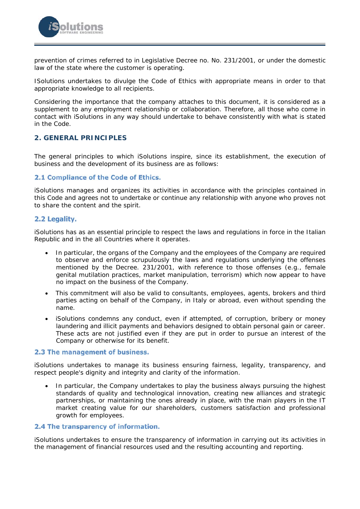

prevention of crimes referred to in Legislative Decree no. No. 231/2001, or under the domestic law of the state where the customer is operating.

ISolutions undertakes to divulge the Code of Ethics with appropriate means in order to that appropriate knowledge to all recipients.

Considering the importance that the company attaches to this document, it is considered as a supplement to any employment relationship or collaboration. Therefore, all those who come in contact with iSolutions in any way should undertake to behave consistently with what is stated in the Code.

### **2. GENERAL PRINCIPLES**

The general principles to which iSolutions inspire, since its establishment, the execution of business and the development of its business are as follows:

### 2.1 Compliance of the Code of Ethics.

iSolutions manages and organizes its activities in accordance with the principles contained in this Code and agrees not to undertake or continue any relationship with anyone who proves not to share the content and the spirit.

### 2.2 Legality.

iSolutions has as an essential principle to respect the laws and regulations in force in the Italian Republic and in the all Countries where it operates.

- In particular, the organs of the Company and the employees of the Company are required to observe and enforce scrupulously the laws and regulations underlying the offenses mentioned by the Decree. 231/2001, with reference to those offenses (e.g., female genital mutilation practices, market manipulation, terrorism) which now appear to have no impact on the business of the Company.
- This commitment will also be valid to consultants, employees, agents, brokers and third parties acting on behalf of the Company, in Italy or abroad, even without spending the name.
- iSolutions condemns any conduct, even if attempted, of corruption, bribery or money laundering and illicit payments and behaviors designed to obtain personal gain or career. These acts are not justified even if they are put in order to pursue an interest of the Company or otherwise for its benefit.

### 2.3 The management of business.

iSolutions undertakes to manage its business ensuring fairness, legality, transparency, and respect people's dignity and integrity and clarity of the information.

 In particular, the Company undertakes to play the business always pursuing the highest standards of quality and technological innovation, creating new alliances and strategic partnerships, or maintaining the ones already in place, with the main players in the IT market creating value for our shareholders, customers satisfaction and professional growth for employees.

# 2.4 The transparency of information.

iSolutions undertakes to ensure the transparency of information in carrying out its activities in the management of financial resources used and the resulting accounting and reporting.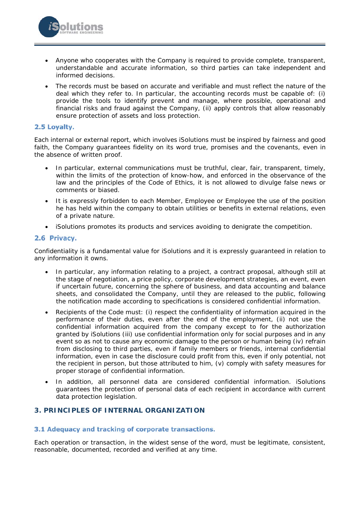

 The records must be based on accurate and verifiable and must reflect the nature of the deal which they refer to. In particular, the accounting records must be capable of: (i) provide the tools to identify prevent and manage, where possible, operational and financial risks and fraud against the Company, (ii) apply controls that allow reasonably ensure protection of assets and loss protection.

### 2.5 Loyalty.

Each internal or external report, which involves iSolutions must be inspired by fairness and good faith, the Company guarantees fidelity on its word true, promises and the covenants, even in the absence of written proof.

- In particular, external communications must be truthful, clear, fair, transparent, timely, within the limits of the protection of know-how, and enforced in the observance of the law and the principles of the Code of Ethics, it is not allowed to divulge false news or comments or biased.
- It is expressly forbidden to each Member, Employee or Employee the use of the position he has held within the company to obtain utilities or benefits in external relations, even of a private nature.
- iSolutions promotes its products and services avoiding to denigrate the competition.

# 2.6 Privacy.

Confidentiality is a fundamental value for iSolutions and it is expressly guaranteed in relation to any information it owns.

- In particular, any information relating to a project, a contract proposal, although still at the stage of negotiation, a price policy, corporate development strategies, an event, even if uncertain future, concerning the sphere of business, and data accounting and balance sheets, and consolidated the Company, until they are released to the public, following the notification made according to specifications is considered confidential information.
- Recipients of the Code must: (i) respect the confidentiality of information acquired in the performance of their duties, even after the end of the employment, (ii) not use the confidential information acquired from the company except to for the authorization granted by iSolutions (iii) use confidential information only for social purposes and in any event so as not to cause any economic damage to the person or human being (iv) refrain from disclosing to third parties, even if family members or friends, internal confidential information, even in case the disclosure could profit from this, even if only potential, not the recipient in person, but those attributed to him, (v) comply with safety measures for proper storage of confidential information.
- In addition, all personnel data are considered confidential information. iSolutions guarantees the protection of personal data of each recipient in accordance with current data protection legislation.

# **3. PRINCIPLES OF INTERNAL ORGANIZATION**

### 3.1 Adequacy and tracking of corporate transactions.

Each operation or transaction, in the widest sense of the word, must be legitimate, consistent, reasonable, documented, recorded and verified at any time.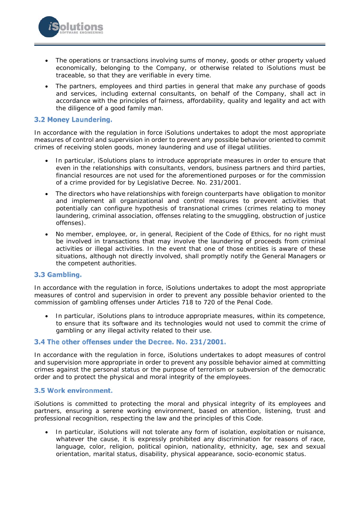

 The partners, employees and third parties in general that make any purchase of goods and services, including external consultants, on behalf of the Company, shall act in accordance with the principles of fairness, affordability, quality and legality and act with the diligence of a good family man.

## 3.2 Money Laundering.

lutions

In accordance with the regulation in force iSolutions undertakes to adopt the most appropriate measures of control and supervision in order to prevent any possible behavior oriented to commit crimes of receiving stolen goods, money laundering and use of illegal utilities.

- In particular, iSolutions plans to introduce appropriate measures in order to ensure that even in the relationships with consultants, vendors, business partners and third parties, financial resources are not used for the aforementioned purposes or for the commission of a crime provided for by Legislative Decree. No. 231/2001.
- The directors who have relationships with foreign counterparts have obligation to monitor and implement all organizational and control measures to prevent activities that potentially can configure hypothesis of transnational crimes (crimes relating to money laundering, criminal association, offenses relating to the smuggling, obstruction of justice offenses).
- No member, employee, or, in general, Recipient of the Code of Ethics, for no right must be involved in transactions that may involve the laundering of proceeds from criminal activities or illegal activities. In the event that one of those entities is aware of these situations, although not directly involved, shall promptly notify the General Managers or the competent authorities.

### 3.3 Gambling.

In accordance with the regulation in force, iSolutions undertakes to adopt the most appropriate measures of control and supervision in order to prevent any possible behavior oriented to the commission of gambling offenses under Articles 718 to 720 of the Penal Code.

 In particular, iSolutions plans to introduce appropriate measures, within its competence, to ensure that its software and its technologies would not used to commit the crime of gambling or any illegal activity related to their use.

### 3.4 The other offenses under the Decree. No. 231/2001.

In accordance with the regulation in force, iSolutions undertakes to adopt measures of control and supervision more appropriate in order to prevent any possible behavior aimed at committing crimes against the personal status or the purpose of terrorism or subversion of the democratic order and to protect the physical and moral integrity of the employees.

#### 3.5 Work environment.

iSolutions is committed to protecting the moral and physical integrity of its employees and partners, ensuring a serene working environment, based on attention, listening, trust and professional recognition, respecting the law and the principles of this Code.

 In particular, iSolutions will not tolerate any form of isolation, exploitation or nuisance, whatever the cause, it is expressly prohibited any discrimination for reasons of race, language, color, religion, political opinion, nationality, ethnicity, age, sex and sexual orientation, marital status, disability, physical appearance, socio-economic status.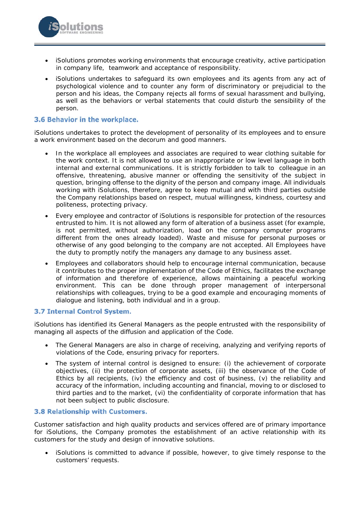- iSolutions promotes working environments that encourage creativity, active participation in company life, teamwork and acceptance of responsibility.
- iSolutions undertakes to safeguard its own employees and its agents from any act of psychological violence and to counter any form of discriminatory or prejudicial to the person and his ideas, the Company rejects all forms of sexual harassment and bullying, as well as the behaviors or verbal statements that could disturb the sensibility of the person.

## 3.6 Behavior in the workplace.

iSolutions undertakes to protect the development of personality of its employees and to ensure a work environment based on the decorum and good manners.

- In the workplace all employees and associates are required to wear clothing suitable for the work context. It is not allowed to use an inappropriate or low level language in both internal and external communications. It is strictly forbidden to talk to colleague in an offensive, threatening, abusive manner or offending the sensitivity of the subject in question, bringing offense to the dignity of the person and company image. All individuals working with iSolutions, therefore, agree to keep mutual and with third parties outside the Company relationships based on respect, mutual willingness, kindness, courtesy and politeness, protecting privacy.
- Every employee and contractor of iSolutions is responsible for protection of the resources entrusted to him. It is not allowed any form of alteration of a business asset (for example, is not permitted, without authorization, load on the company computer programs different from the ones already loaded). Waste and misuse for personal purposes or otherwise of any good belonging to the company are not accepted. All Employees have the duty to promptly notify the managers any damage to any business asset.
- Employees and collaborators should help to encourage internal communication, because it contributes to the proper implementation of the Code of Ethics, facilitates the exchange of information and therefore of experience, allows maintaining a peaceful working environment. This can be done through proper management of interpersonal relationships with colleagues, trying to be a good example and encouraging moments of dialogue and listening, both individual and in a group.

### 3.7 Internal Control System.

iSolutions has identified its General Managers as the people entrusted with the responsibility of managing all aspects of the diffusion and application of the Code.

- The General Managers are also in charge of receiving, analyzing and verifying reports of violations of the Code, ensuring privacy for reporters.
- The system of internal control is designed to ensure: (i) the achievement of corporate objectives, (ii) the protection of corporate assets, (iii) the observance of the Code of Ethics by all recipients, (iv) the efficiency and cost of business, (v) the reliability and accuracy of the information, including accounting and financial, moving to or disclosed to third parties and to the market, (vi) the confidentiality of corporate information that has not been subject to public disclosure.

### 3.8 Relationship with Customers.

Customer satisfaction and high quality products and services offered are of primary importance for iSolutions, the Company promotes the establishment of an active relationship with its customers for the study and design of innovative solutions.

 iSolutions is committed to advance if possible, however, to give timely response to the customers' requests.